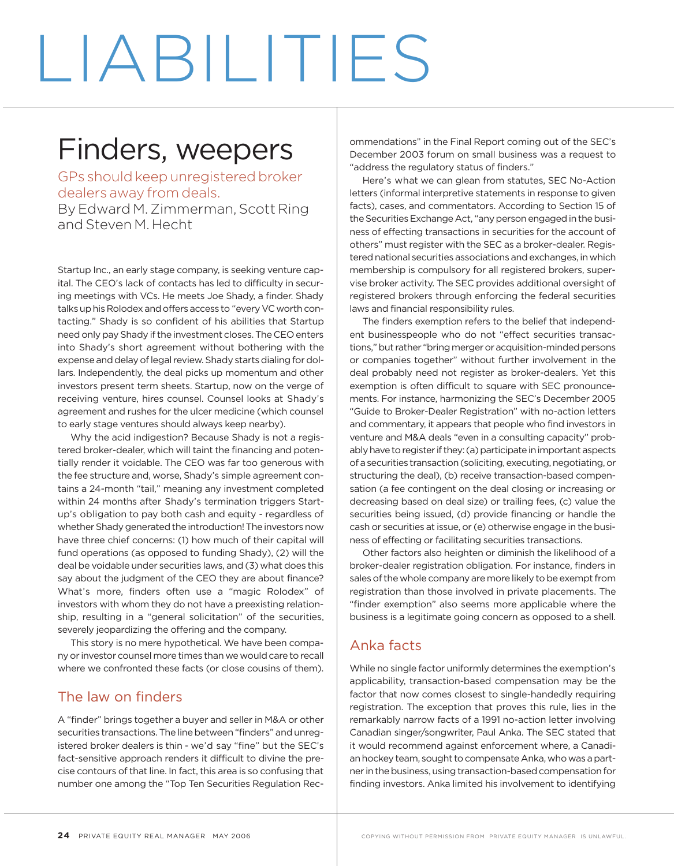# LIABILITIES

## Finders, weepers

GPs should keep unregistered broker dealers away from deals. By Edward M. Zimmerman, Scott Ring and Steven M. Hecht

Startup Inc., an early stage company, is seeking venture capital. The CEO's lack of contacts has led to difficulty in securing meetings with VCs. He meets Joe Shady, a finder. Shady talks up his Rolodex and offers access to "every VC worth contacting." Shady is so confident of his abilities that Startup need only pay Shady if the investment closes. The CEO enters into Shady's short agreement without bothering with the expense and delay of legal review. Shady starts dialing for dollars. Independently, the deal picks up momentum and other investors present term sheets. Startup, now on the verge of receiving venture, hires counsel. Counsel looks at Shady's agreement and rushes for the ulcer medicine (which counsel to early stage ventures should always keep nearby).

Why the acid indigestion? Because Shady is not a registered broker-dealer, which will taint the financing and potentially render it voidable. The CEO was far too generous with the fee structure and, worse, Shady's simple agreement contains a 24-month "tail," meaning any investment completed within 24 months after Shady's termination triggers Startup's obligation to pay both cash and equity - regardless of whether Shady generated the introduction! The investors now have three chief concerns: (1) how much of their capital will fund operations (as opposed to funding Shady), (2) will the deal be voidable under securities laws, and (3) what does this say about the judgment of the CEO they are about finance? What's more, finders often use a "magic Rolodex" of investors with whom they do not have a preexisting relationship, resulting in a "general solicitation" of the securities, severely jeopardizing the offering and the company.

This story is no mere hypothetical. We have been company or investor counsel more times than we would care to recall where we confronted these facts (or close cousins of them).

### The law on finders

A "finder" brings together a buyer and seller in M&A or other securities transactions. The line between "finders" and unregistered broker dealers is thin - we'd say "fine" but the SEC's fact-sensitive approach renders it difficult to divine the precise contours of that line. In fact, this area is so confusing that number one among the "Top Ten Securities Regulation Rec-

ommendations" in the Final Report coming out of the SEC's December 2003 forum on small business was a request to "address the regulatory status of finders."

Here's what we can glean from statutes, SEC No-Action letters (informal interpretive statements in response to given facts), cases, and commentators. According to Section 15 of the Securities Exchange Act, "any person engaged in the business of effecting transactions in securities for the account of others" must register with the SEC as a broker-dealer. Registered national securities associations and exchanges, in which membership is compulsory for all registered brokers, supervise broker activity. The SEC provides additional oversight of registered brokers through enforcing the federal securities laws and financial responsibility rules.

The finders exemption refers to the belief that independent businesspeople who do not "effect securities transactions," but rather "bring merger or acquisition-minded persons or companies together" without further involvement in the deal probably need not register as broker-dealers. Yet this exemption is often difficult to square with SEC pronouncements. For instance, harmonizing the SEC's December 2005 "Guide to Broker-Dealer Registration" with no-action letters and commentary, it appears that people who find investors in venture and M&A deals "even in a consulting capacity" probably have to register if they: (a) participate in important aspects of a securities transaction (soliciting, executing, negotiating, or structuring the deal), (b) receive transaction-based compensation (a fee contingent on the deal closing or increasing or decreasing based on deal size) or trailing fees, (c) value the securities being issued, (d) provide financing or handle the cash or securities at issue, or (e) otherwise engage in the business of effecting or facilitating securities transactions.

Other factors also heighten or diminish the likelihood of a broker-dealer registration obligation. For instance, finders in sales of the whole company are more likely to be exempt from registration than those involved in private placements. The "finder exemption" also seems more applicable where the business is a legitimate going concern as opposed to a shell.

### Anka facts

While no single factor uniformly determines the exemption's applicability, transaction-based compensation may be the factor that now comes closest to single-handedly requiring registration. The exception that proves this rule, lies in the remarkably narrow facts of a 1991 no-action letter involving Canadian singer/songwriter, Paul Anka. The SEC stated that it would recommend against enforcement where, a Canadian hockey team, sought to compensate Anka, who was a partner in the business, using transaction-based compensation for finding investors. Anka limited his involvement to identifying